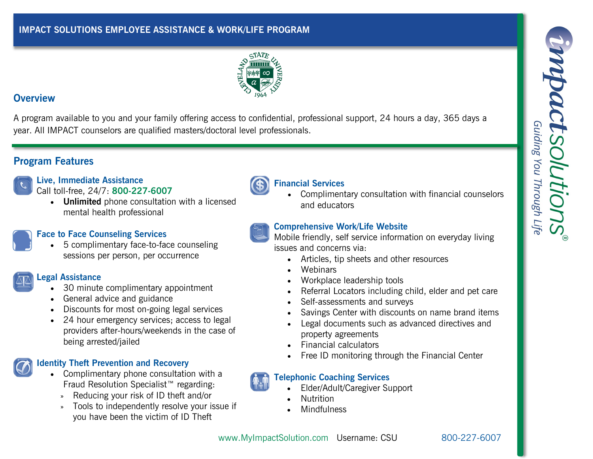

### **Overview**

A program available to you and your family offering access to confidential, professional support, 24 hours a day, 365 days a year. All IMPACT counselors are qualified masters/doctoral level professionals.

# **Program Features**

# **Live, Immediate Assistance**

Call toll-free, 24/7: **800-227-6007**

 **Unlimited** phone consultation with a licensed mental health professional

# **Face to Face Counseling Services**

 5 complimentary face-to-face counseling sessions per person, per occurrence

# **Legal Assistance**

- 30 minute complimentary appointment
- General advice and guidance
- Discounts for most on-going legal services
- 24 hour emergency services; access to legal providers after-hours/weekends in the case of being arrested/jailed

## **Identity Theft Prevention and Recovery**

- Complimentary phone consultation with a Fraud Resolution Specialist™ regarding:
	- » Reducing your risk of ID theft and/or
	- » Tools to independently resolve your issue if you have been the victim of ID Theft



# **Financial Services**

 Complimentary consultation with financial counselors and educators

## **Comprehensive Work/Life Website**

Mobile friendly, self service information on everyday living issues and concerns via:

- Articles, tip sheets and other resources
- **Webinars**
- Workplace leadership tools
- Referral Locators including child, elder and pet care
- Self-assessments and surveys
- Savings Center with discounts on name brand items
- Legal documents such as advanced directives and property agreements
- Financial calculators
- Free ID monitoring through the Financial Center

## **Telephonic Coaching Services**

- Elder/Adult/Caregiver Support
- Nutrition
- Mindfulness